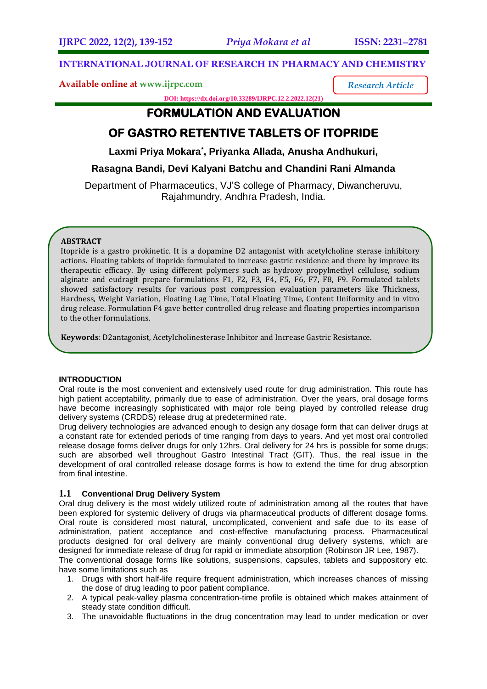# **INTERNATIONAL JOURNAL OF RESEARCH IN PHARMACY AND CHEMISTRY**

**Available online at [www.ijrpc.com](http://www.ijrpc.com/)**

*Research Article*

**DOI: https://dx.doi.org/10.33289/IJRPC.12.2.2022.12(21)** 

# **FORMULATION AND EVALUATION**

# **OF GASTRO RETENTIVE TABLETS OF ITOPRIDE**

Laxmi Priya Mokara<sup>\*</sup>, Priyanka Allada, Anusha Andhukuri,

# **Rasagna Bandi, Devi Kalyani Batchu and Chandini Rani Almanda**

Department of Pharmaceutics, VJ'S college of Pharmacy, Diwancheruvu, Rajahmundry, Andhra Pradesh, India.

# **ABSTRACT**

Itopride is a gastro prokinetic. It is a dopamine D2 antagonist with acetylcholine sterase inhibitory actions. Floating tablets of itopride formulated to increase gastric residence and there by improve its therapeutic efficacy. By using different polymers such as hydroxy propylmethyl cellulose, sodium alginate and eudragit prepare formulations F1, F2, F3, F4, F5, F6, F7, F8, F9. Formulated tablets showed satisfactory results for various post compression evaluation parameters like Thickness, Hardness, Weight Variation, Floating Lag Time, Total Floating Time, Content Uniformity and in vitro drug release. Formulation F4 gave better controlled drug release and floating properties incomparison to the other formulations.

**Keywords**: D2antagonist, Acetylcholinesterase Inhibitor and Increase Gastric Resistance.

# **INTRODUCTION**

Oral route is the most convenient and extensively used route for drug administration. This route has high patient acceptability, primarily due to ease of administration. Over the years, oral dosage forms have become increasingly sophisticated with major role being played by controlled release drug delivery systems (CRDDS) release drug at predetermined rate.

Drug delivery technologies are advanced enough to design any dosage form that can deliver drugs at a constant rate for extended periods of time ranging from days to years. And yet most oral controlled release dosage forms deliver drugs for only 12hrs. Oral delivery for 24 hrs is possible for some drugs; such are absorbed well throughout Gastro Intestinal Tract (GIT). Thus, the real issue in the development of oral controlled release dosage forms is how to extend the time for drug absorption from final intestine.

# **1.1 Conventional Drug Delivery System**

Oral drug delivery is the most widely utilized route of administration among all the routes that have been explored for systemic delivery of drugs via pharmaceutical products of different dosage forms. Oral route is considered most natural, uncomplicated, convenient and safe due to its ease of administration, patient acceptance and cost-effective manufacturing process. Pharmaceutical products designed for oral delivery are mainly conventional drug delivery systems, which are designed for immediate release of drug for rapid or immediate absorption (Robinson JR Lee, 1987).

The conventional dosage forms like solutions, suspensions, capsules, tablets and suppository etc. have some limitations such as

- 1. Drugs with short half-life require frequent administration, which increases chances of missing the dose of drug leading to poor patient compliance.
- 2. A typical peak-valley plasma concentration-time profile is obtained which makes attainment of steady state condition difficult.
- 3. The unavoidable fluctuations in the drug concentration may lead to under medication or over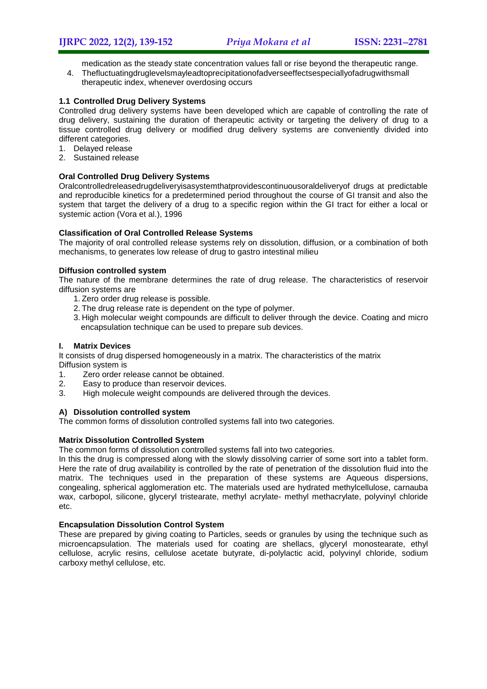medication as the steady state concentration values fall or rise beyond the therapeutic range.

- 4. Thefluctuatingdruglevelsmayleadtoprecipitationofadverseeffectsespeciallyofadrugwithsmall
	- therapeutic index, whenever overdosing occurs

# **1.1 Controlled Drug Delivery Systems**

Controlled drug delivery systems have been developed which are capable of controlling the rate of drug delivery, sustaining the duration of therapeutic activity or targeting the delivery of drug to a tissue controlled drug delivery or modified drug delivery systems are conveniently divided into different categories.

- 1. Delayed release
- 2. Sustained release

# **Oral Controlled Drug Delivery Systems**

Oralcontrolledreleasedrugdeliveryisasystemthatprovidescontinuousoraldeliveryof drugs at predictable and reproducible kinetics for a predetermined period throughout the course of GI transit and also the system that target the delivery of a drug to a specific region within the GI tract for either a local or systemic action (Vora et al.), 1996

### **Classification of Oral Controlled Release Systems**

The majority of oral controlled release systems rely on dissolution, diffusion, or a combination of both mechanisms, to generates low release of drug to gastro intestinal milieu

### **Diffusion controlled system**

The nature of the membrane determines the rate of drug release. The characteristics of reservoir diffusion systems are

- 1. Zero order drug release is possible.
- 2. The drug release rate is dependent on the type of polymer.
- 3. High molecular weight compounds are difficult to deliver through the device. Coating and micro encapsulation technique can be used to prepare sub devices.

#### **I. Matrix Devices**

It consists of drug dispersed homogeneously in a matrix. The characteristics of the matrix Diffusion system is

- 1. Zero order release cannot be obtained.
- 2. Easy to produce than reservoir devices.
- 3. High molecule weight compounds are delivered through the devices.

#### **A) Dissolution controlled system**

The common forms of dissolution controlled systems fall into two categories.

# **Matrix Dissolution Controlled System**

The common forms of dissolution controlled systems fall into two categories.

In this the drug is compressed along with the slowly dissolving carrier of some sort into a tablet form. Here the rate of drug availability is controlled by the rate of penetration of the dissolution fluid into the matrix. The techniques used in the preparation of these systems are Aqueous dispersions, congealing, spherical agglomeration etc. The materials used are hydrated methylcellulose, carnauba wax, carbopol, silicone, glyceryl tristearate, methyl acrylate- methyl methacrylate, polyvinyl chloride etc.

#### **Encapsulation Dissolution Control System**

These are prepared by giving coating to Particles, seeds or granules by using the technique such as microencapsulation. The materials used for coating are shellacs, glyceryl monostearate, ethyl cellulose, acrylic resins, cellulose acetate butyrate, di-polylactic acid, polyvinyl chloride, sodium carboxy methyl cellulose, etc.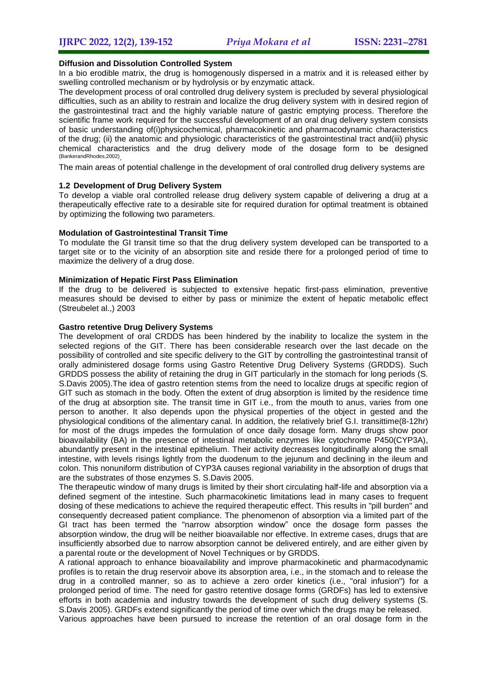#### **Diffusion and Dissolution Controlled System**

In a bio erodible matrix, the drug is homogenously dispersed in a matrix and it is released either by swelling controlled mechanism or by hydrolysis or by enzymatic attack.

The development process of oral controlled drug delivery system is precluded by several physiological difficulties, such as an ability to restrain and localize the drug delivery system with in desired region of the gastrointestinal tract and the highly variable nature of gastric emptying process. Therefore the scientific frame work required for the successful development of an oral drug delivery system consists of basic understanding of(i)physicochemical, pharmacokinetic and pharmacodynamic characteristics of the drug; (ii) the anatomic and physiologic characteristics of the gastrointestinal tract and(iii) physic chemical characteristics and the drug delivery mode of the dosage form to be designed (BankerandRhodes,2002) .

The main areas of potential challenge in the development of oral controlled drug delivery systems are

#### **1.2 Development of Drug Delivery System**

To develop a viable oral controlled release drug delivery system capable of delivering a drug at a therapeutically effective rate to a desirable site for required duration for optimal treatment is obtained by optimizing the following two parameters.

#### **Modulation of Gastrointestinal Transit Time**

To modulate the GI transit time so that the drug delivery system developed can be transported to a target site or to the vicinity of an absorption site and reside there for a prolonged period of time to maximize the delivery of a drug dose.

#### **Minimization of Hepatic First Pass Elimination**

If the drug to be delivered is subjected to extensive hepatic first-pass elimination, preventive measures should be devised to either by pass or minimize the extent of hepatic metabolic effect (Streubelet al.,) 2003

## **Gastro retentive Drug Delivery Systems**

The development of oral CRDDS has been hindered by the inability to localize the system in the selected regions of the GIT. There has been considerable research over the last decade on the possibility of controlled and site specific delivery to the GIT by controlling the gastrointestinal transit of orally administered dosage forms using Gastro Retentive Drug Delivery Systems (GRDDS). Such GRDDS possess the ability of retaining the drug in GIT particularly in the stomach for long periods (S. S.Davis 2005).The idea of gastro retention stems from the need to localize drugs at specific region of GIT such as stomach in the body. Often the extent of drug absorption is limited by the residence time of the drug at absorption site. The transit time in GIT i.e., from the mouth to anus, varies from one person to another. It also depends upon the physical properties of the object in gested and the physiological conditions of the alimentary canal. In addition, the relatively brief G.I. transittime(8-12hr) for most of the drugs impedes the formulation of once daily dosage form. Many drugs show poor bioavailability (BA) in the presence of intestinal metabolic enzymes like cytochrome P450(CYP3A), abundantly present in the intestinal epithelium. Their activity decreases longitudinally along the small intestine, with levels risings lightly from the duodenum to the jejunum and declining in the ileum and colon. This nonuniform distribution of CYP3A causes regional variability in the absorption of drugs that are the substrates of those enzymes S. S.Davis 2005.

The therapeutic window of many drugs is limited by their short circulating half-life and absorption via a defined segment of the intestine. Such pharmacokinetic limitations lead in many cases to frequent dosing of these medications to achieve the required therapeutic effect. This results in "pill burden" and consequently decreased patient compliance. The phenomenon of absorption via a limited part of the GI tract has been termed the "narrow absorption window" once the dosage form passes the absorption window, the drug will be neither bioavailable nor effective. In extreme cases, drugs that are insufficiently absorbed due to narrow absorption cannot be delivered entirely, and are either given by a parental route or the development of Novel Techniques or by GRDDS.

A rational approach to enhance bioavailability and improve pharmacokinetic and pharmacodynamic profiles is to retain the drug reservoir above its absorption area, i.e., in the stomach and to release the drug in a controlled manner, so as to achieve a zero order kinetics (i.e., "oral infusion") for a prolonged period of time. The need for gastro retentive dosage forms (GRDFs) has led to extensive efforts in both academia and industry towards the development of such drug delivery systems (S. S.Davis 2005). GRDFs extend significantly the period of time over which the drugs may be released.

Various approaches have been pursued to increase the retention of an oral dosage form in the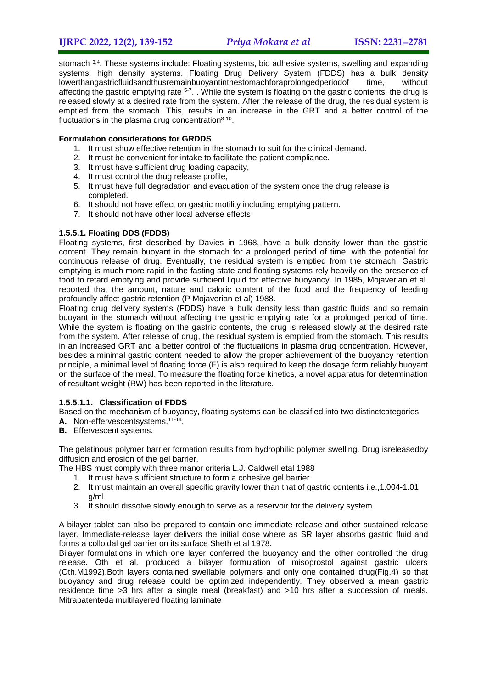stomach 3,4. These systems include: Floating systems, bio adhesive systems, swelling and expanding systems, high density systems. Floating Drug Delivery System (FDDS) has a bulk density lowerthangastricfluidsandthusremainbuoyantinthestomachforaprolongedperiodof time, without affecting the gastric emptying rate <sup>5-7</sup>. . While the system is floating on the gastric contents, the drug is released slowly at a desired rate from the system. After the release of the drug, the residual system is emptied from the stomach. This, results in an increase in the GRT and a better control of the fluctuations in the plasma drug concentration $8-10$ .

# **Formulation considerations for GRDDS**

- 1. It must show effective retention in the stomach to suit for the clinical demand.
- 2. It must be convenient for intake to facilitate the patient compliance.
- 3. It must have sufficient drug loading capacity,
- 4. It must control the drug release profile,
- 5. It must have full degradation and evacuation of the system once the drug release is completed.
- 6. It should not have effect on gastric motility including emptying pattern.
- 7. It should not have other local adverse effects

### **1.5.5.1. Floating DDS (FDDS)**

Floating systems, first described by Davies in 1968, have a bulk density lower than the gastric content. They remain buoyant in the stomach for a prolonged period of time, with the potential for continuous release of drug. Eventually, the residual system is emptied from the stomach. Gastric emptying is much more rapid in the fasting state and floating systems rely heavily on the presence of food to retard emptying and provide sufficient liquid for effective buoyancy. In 1985, Mojaverian et al. reported that the amount, nature and caloric content of the food and the frequency of feeding profoundly affect gastric retention (P Mojaverian et al) 1988.

Floating drug delivery systems (FDDS) have a bulk density less than gastric fluids and so remain buoyant in the stomach without affecting the gastric emptying rate for a prolonged period of time. While the system is floating on the gastric contents, the drug is released slowly at the desired rate from the system. After release of drug, the residual system is emptied from the stomach. This results in an increased GRT and a better control of the fluctuations in plasma drug concentration. However, besides a minimal gastric content needed to allow the proper achievement of the buoyancy retention principle, a minimal level of floating force (F) is also required to keep the dosage form reliably buoyant on the surface of the meal. To measure the floating force kinetics, a novel apparatus for determination of resultant weight (RW) has been reported in the literature.

#### **1.5.5.1.1. Classification of FDDS**

Based on the mechanism of buoyancy, floating systems can be classified into two distinctcategories

- A. Non-effervescentsystems.<sup>11-14</sup>.
- **B.** Effervescent systems.

The gelatinous polymer barrier formation results from hydrophilic polymer swelling. Drug isreleasedby diffusion and erosion of the gel barrier.

The HBS must comply with three manor criteria L.J. Caldwell etal 1988

- 1. It must have sufficient structure to form a cohesive gel barrier
- 2. It must maintain an overall specific gravity lower than that of gastric contents i.e.,1.004-1.01 g/ml
- 3. It should dissolve slowly enough to serve as a reservoir for the delivery system

A bilayer tablet can also be prepared to contain one immediate-release and other sustained-release layer. Immediate-release layer delivers the initial dose where as SR layer absorbs gastric fluid and forms a colloidal gel barrier on its surface Sheth et al 1978.

Bilayer formulations in which one layer conferred the buoyancy and the other controlled the drug release. Oth et al. produced a bilayer formulation of misoprostol against gastric ulcers (Oth.M1992).Both layers contained swellable polymers and only one contained drug(Fig.4) so that buoyancy and drug release could be optimized independently. They observed a mean gastric residence time >3 hrs after a single meal (breakfast) and >10 hrs after a succession of meals. Mitrapatenteda multilayered floating laminate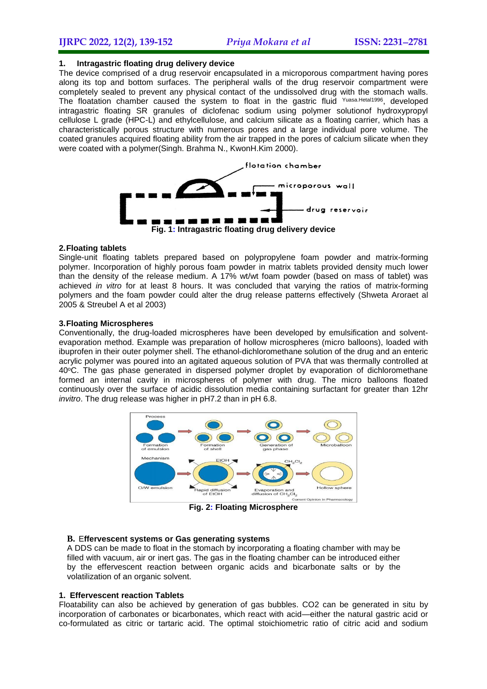#### **1. Intragastric floating drug delivery device**

The device comprised of a drug reservoir encapsulated in a microporous compartment having pores along its top and bottom surfaces. The peripheral walls of the drug reservoir compartment were completely sealed to prevent any physical contact of the undissolved drug with the stomach walls. The floatation chamber caused the system to float in the gastric fluid <sup>Yuasa.Hetal1996</sup>, developed intragastric floating SR granules of diclofenac sodium using polymer solutionof hydroxypropyl cellulose L grade (HPC-L) and ethylcellulose, and calcium silicate as a floating carrier, which has a characteristically porous structure with numerous pores and a large individual pore volume. The coated granules acquired floating ability from the air trapped in the pores of calcium silicate when they were coated with a polymer(Singh. Brahma N., KwonH.Kim 2000).



#### **2.Floating tablets**

Single-unit floating tablets prepared based on polypropylene foam powder and matrix-forming polymer. Incorporation of highly porous foam powder in matrix tablets provided density much lower than the density of the release medium. A 17% wt/wt foam powder (based on mass of tablet) was achieved *in vitro* for at least 8 hours. It was concluded that varying the ratios of matrix-forming polymers and the foam powder could alter the drug release patterns effectively (Shweta Aroraet al 2005 & Streubel A et al 2003)

#### **3.Floating Microspheres**

Conventionally, the drug-loaded microspheres have been developed by emulsification and solventevaporation method. Example was preparation of hollow microspheres (micro balloons), loaded with ibuprofen in their outer polymer shell. The ethanol-dichloromethane solution of the drug and an enteric acrylic polymer was poured into an agitated aqueous solution of PVA that was thermally controlled at 40°C. The gas phase generated in dispersed polymer droplet by evaporation of dichloromethane formed an internal cavity in microspheres of polymer with drug. The micro balloons floated continuously over the surface of acidic dissolution media containing surfactant for greater than 12hr *invitro*. The drug release was higher in pH7.2 than in pH 6.8.



**Fig. 2: Floating Microsphere**

#### **B.** E**ffervescent systems or Gas generating systems**

A DDS can be made to float in the stomach by incorporating a floating chamber with may be filled with vacuum, air or inert gas. The gas in the floating chamber can be introduced either by the effervescent reaction between organic acids and bicarbonate salts or by the volatilization of an organic solvent.

#### **1. Effervescent reaction Tablets**

Floatability can also be achieved by generation of gas bubbles. CO2 can be generated in situ by incorporation of carbonates or bicarbonates, which react with acid—either the natural gastric acid or co-formulated as citric or tartaric acid. The optimal stoichiometric ratio of citric acid and sodium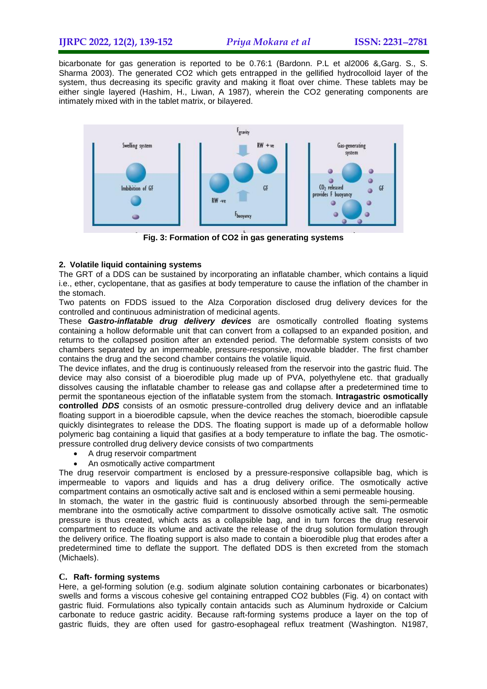# **IJRPC 2022, 12(2), 139-152** *Priya Mokara et al* **ISSN: 22312781**

bicarbonate for gas generation is reported to be 0.76:1 (Bardonn. P.L et al2006 &,Garg. S., S. Sharma 2003). The generated CO2 which gets entrapped in the gellified hydrocolloid layer of the system, thus decreasing its specific gravity and making it float over chime. These tablets may be either single layered (Hashim, H., Liwan, A 1987), wherein the CO2 generating components are intimately mixed with in the tablet matrix, or bilayered.



**Fig. 3: Formation of CO2 in gas generating systems**

# **2. Volatile liquid containing systems**

The GRT of a DDS can be sustained by incorporating an inflatable chamber, which contains a liquid i.e., ether, cyclopentane, that as gasifies at body temperature to cause the inflation of the chamber in the stomach.

Two patents on FDDS issued to the Alza Corporation disclosed drug delivery devices for the controlled and continuous administration of medicinal agents.

These *Gastro-inflatable drug delivery devices* are osmotically controlled floating systems containing a hollow deformable unit that can convert from a collapsed to an expanded position, and returns to the collapsed position after an extended period. The deformable system consists of two chambers separated by an impermeable, pressure-responsive, movable bladder. The first chamber contains the drug and the second chamber contains the volatile liquid.

The device inflates, and the drug is continuously released from the reservoir into the gastric fluid. The device may also consist of a bioerodible plug made up of PVA, polyethylene etc. that gradually dissolves causing the inflatable chamber to release gas and collapse after a predetermined time to permit the spontaneous ejection of the inflatable system from the stomach. **Intragastric osmotically controlled** *DDS* consists of an osmotic pressure-controlled drug delivery device and an inflatable floating support in a bioerodible capsule, when the device reaches the stomach, bioerodible capsule quickly disintegrates to release the DDS. The floating support is made up of a deformable hollow polymeric bag containing a liquid that gasifies at a body temperature to inflate the bag. The osmoticpressure controlled drug delivery device consists of two compartments

- A drug reservoir compartment
- An osmotically active compartment

The drug reservoir compartment is enclosed by a pressure-responsive collapsible bag, which is impermeable to vapors and liquids and has a drug delivery orifice. The osmotically active compartment contains an osmotically active salt and is enclosed within a semi permeable housing.

In stomach, the water in the gastric fluid is continuously absorbed through the semi-permeable membrane into the osmotically active compartment to dissolve osmotically active salt. The osmotic pressure is thus created, which acts as a collapsible bag, and in turn forces the drug reservoir compartment to reduce its volume and activate the release of the drug solution formulation through the delivery orifice. The floating support is also made to contain a bioerodible plug that erodes after a predetermined time to deflate the support. The deflated DDS is then excreted from the stomach (Michaels).

#### **C. Raft- forming systems**

Here, a gel-forming solution (e.g. sodium alginate solution containing carbonates or bicarbonates) swells and forms a viscous cohesive gel containing entrapped CO2 bubbles (Fig. 4) on contact with gastric fluid. Formulations also typically contain antacids such as Aluminum hydroxide or Calcium carbonate to reduce gastric acidity. Because raft-forming systems produce a layer on the top of gastric fluids, they are often used for gastro-esophageal reflux treatment (Washington. N1987,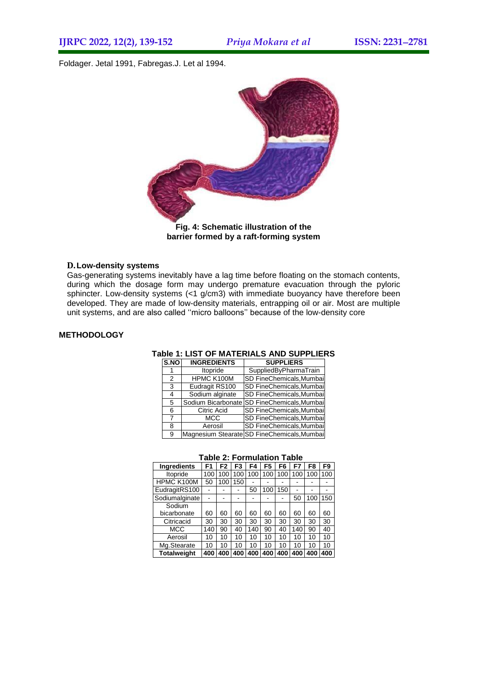Foldager. Jetal 1991, Fabregas.J. Let al 1994.



# **barrier formed by a raft-forming system**

#### **D.Low-density systems**

Gas-generating systems inevitably have a lag time before floating on the stomach contents, during which the dosage form may undergo premature evacuation through the pyloric sphincter. Low-density systems (<1 g/cm3) with immediate buoyancy have therefore been developed. They are made of low-density materials, entrapping oil or air. Most are multiple unit systems, and are also called ''micro balloons'' because of the low-density core

#### **METHODOLOGY**

#### **Table 1: LIST OF MATERIALS AND SUPPLIERS**

| S.NO           | <b>INGREDIENTS</b> | <b>SUPPLIERS</b>                            |
|----------------|--------------------|---------------------------------------------|
|                | Itopride           | SuppliedByPharmaTrain                       |
| $\mathfrak{p}$ | HPMC K100M         | <b>SD FineChemicals, Mumbai</b>             |
| 3              | Eudragit RS100     | <b>SD FineChemicals, Mumbai</b>             |
| 4              | Sodium alginate    | <b>SD FineChemicals, Mumbai</b>             |
| 5              |                    | Sodium Bicarbonate SD FineChemicals, Mumbai |
| 6              | Citric Acid        | SD FineChemicals, Mumbai                    |
| 7              | <b>MCC</b>         | SD FineChemicals, Mumbai                    |
| 8              | Aerosil            | SD FineChemicals, Mumbai                    |
| я              |                    | Magnesium Stearate SD FineChemicals, Mumbai |

#### **Table 2: Formulation Table**

| <b>Ingredients</b> | F1  | F2  | F3  | F4  | F5  | F6  | F7  | F8  | F9  |
|--------------------|-----|-----|-----|-----|-----|-----|-----|-----|-----|
| Itopride           | 100 | 100 | 100 | 100 | 100 | 100 | 100 | 100 | 100 |
| HPMC K100M         | 50  | 100 | 150 |     |     |     |     |     |     |
| EudragitRS100      |     |     |     | 50  | 100 | 150 | ٠   |     |     |
| Sodiumalginate     |     |     |     |     |     |     | 50  | 100 | 150 |
| Sodium             |     |     |     |     |     |     |     |     |     |
| bicarbonate        | 60  | 60  | 60  | 60  | 60  | 60  | 60  | 60  | 60  |
| Citricacid         | 30  | 30  | 30  | 30  | 30  | 30  | 30  | 30  | 30  |
| <b>MCC</b>         | 140 | 90  | 40  | 140 | 90  | 40  | 140 | 90  | 40  |
| Aerosil            | 10  | 10  | 10  | 10  | 10  | 10  | 10  | 10  | 10  |
| Mg.Stearate        | 10  | 10  | 10  | 10  | 10  | 10  | 10  | 10  | 10  |
| <b>Totalweight</b> | 400 | 400 | 400 | 400 | 400 | 400 | 400 | 400 | 400 |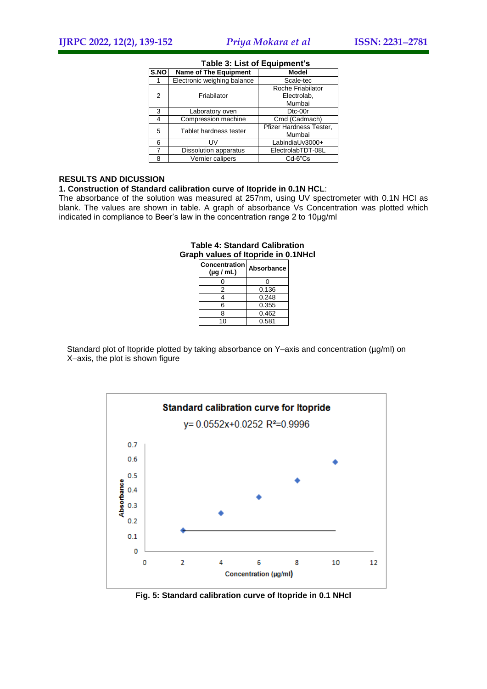| S.NO          | <b>Name of The Equipment</b> | <b>Model</b>            |  |  |
|---------------|------------------------------|-------------------------|--|--|
|               | Electronic weighing balance  | Scale-tec               |  |  |
|               |                              | Roche Friabilator       |  |  |
| $\mathcal{P}$ | Friabilator                  | Electrolab,             |  |  |
|               |                              | Mumbai                  |  |  |
| 3             | Laboratory oven              | D <sub>tc</sub> -00r    |  |  |
| 4             | Compression machine          | Cmd (Cadmach)           |  |  |
| 5             | Tablet hardness tester       | Pfizer Hardness Tester, |  |  |
|               |                              | Mumbai                  |  |  |
| 6             | <b>IIV</b>                   | LabindiaUv3000+         |  |  |
|               | Dissolution apparatus        | ElectrolabTDT-08L       |  |  |
| 8             | Vernier calipers             | $Cd-6"Cs$               |  |  |

#### **Table 3: List of Equipment's**

#### **RESULTS AND DICUSSION**

#### **1. Construction of Standard calibration curve of Itopride in 0.1N HCL**:

The absorbance of the solution was measured at 257nm, using UV spectrometer with 0.1N HCl as blank. The values are shown in table. A graph of absorbance Vs Concentration was plotted which indicated in compliance to Beer's law in the concentration range 2 to 10µg/ml

# **Table 4: Standard Calibration Graph values of Itopride in 0.1NHcl**

| <b>Concentration</b><br>$(\mu q / mL)$ | Absorbance |
|----------------------------------------|------------|
|                                        |            |
| 2                                      | 0.136      |
|                                        | 0.248      |
| 6                                      | 0.355      |
| 8                                      | 0.462      |
| 10                                     | 0.581      |

Standard plot of Itopride plotted by taking absorbance on Y–axis and concentration (µg/ml) on X–axis, the plot is shown figure



**Fig. 5: Standard calibration curve of Itopride in 0.1 NHcl**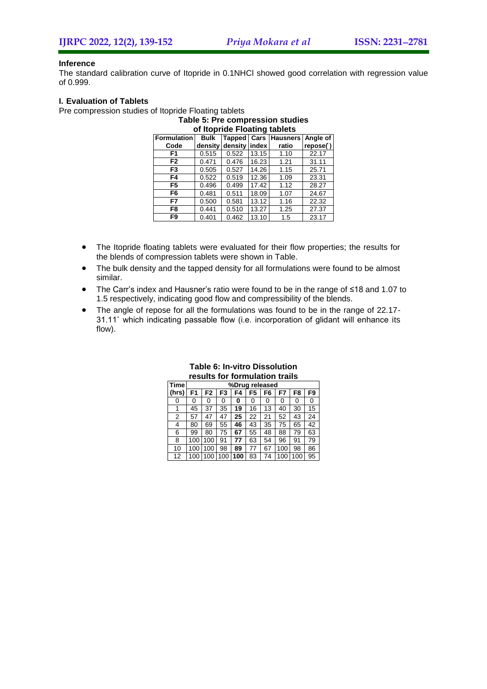#### **Inference**

The standard calibration curve of Itopride in 0.1NHCl showed good correlation with regression value of 0.999.

#### **I. Evaluation of Tablets**

Pre compression studies of Itopride Floating tablets

| Table 5: Pre compression studies |                                                 |         |       |       |          |  |  |  |  |  |
|----------------------------------|-------------------------------------------------|---------|-------|-------|----------|--|--|--|--|--|
| of Itopride Floating tablets     |                                                 |         |       |       |          |  |  |  |  |  |
| <b>Formulation</b>               | Tapped Cars Hausners<br>Angle of<br><b>Bulk</b> |         |       |       |          |  |  |  |  |  |
| Code                             | density                                         | density | index | ratio | repose() |  |  |  |  |  |
| F <sub>1</sub>                   | 0.515                                           | 0.522   | 13.15 | 1.10  | 22.17    |  |  |  |  |  |
| F2                               | 0.471                                           | 0.476   | 16.23 | 1.21  | 31.11    |  |  |  |  |  |
| F3                               | 0.505                                           | 0.527   | 14.26 | 1.15  | 25.71    |  |  |  |  |  |
| F4                               | 0.522                                           | 0.519   | 12.36 | 1.09  | 23.31    |  |  |  |  |  |
| F <sub>5</sub>                   | 0.496                                           | 0.499   | 17.42 | 1.12  | 28.27    |  |  |  |  |  |
| F6                               | 0.481                                           | 0.511   | 18.09 | 1.07  | 24.67    |  |  |  |  |  |
| F7                               | 0.500                                           | 0.581   | 13.12 | 1.16  | 22.32    |  |  |  |  |  |
| F8                               | 0.441                                           | 0.510   | 13.27 | 1.25  | 27.37    |  |  |  |  |  |
| F9                               | 0.401                                           | 0.462   | 13.10 | 1.5   | 23.17    |  |  |  |  |  |

- The Itopride floating tablets were evaluated for their flow properties; the results for the blends of compression tablets were shown in Table.
- The bulk density and the tapped density for all formulations were found to be almost similar.
- The Carr's index and Hausner's ratio were found to be in the range of ≤18 and 1.07 to 1.5 respectively, indicating good flow and compressibility of the blends.
- The angle of repose for all the formulations was found to be in the range of 22.17- 31.11˚ which indicating passable flow (i.e. incorporation of glidant will enhance its flow).

| Time  | %Drug released |     |     |     |                |                |     |     |    |
|-------|----------------|-----|-----|-----|----------------|----------------|-----|-----|----|
| (hrs) | F1             | F2  | F3  | F4  | F <sub>5</sub> | F <sub>6</sub> | F7  | F8  | F9 |
| 0     | 0              | 0   | 0   | 0   | 0              | 0              | 0   | 0   | 0  |
|       | 45             | 37  | 35  | 19  | 16             | 13             | 40  | 30  | 15 |
| 2     | 57             | 47  | 47  | 25  | 22             | 21             | 52  | 43  | 24 |
| 4     | 80             | 69  | 55  | 46  | 43             | 35             | 75  | 65  | 42 |
| 6     | 99             | 80  | 75  | 67  | 55             | 48             | 88  | 79  | 63 |
| 8     | 100            | 100 | 91  | 77  | 63             | 54             | 96  | 91  | 79 |
| 10    | 100            | 100 | 98  | 89  | 77             | 67             | 100 | 98  | 86 |
| 12    | 100            | 100 | 100 | 100 | 83             | 74             | 100 | 100 | 95 |

# **Table 6: In-vitro Dissolution results for formulation trails**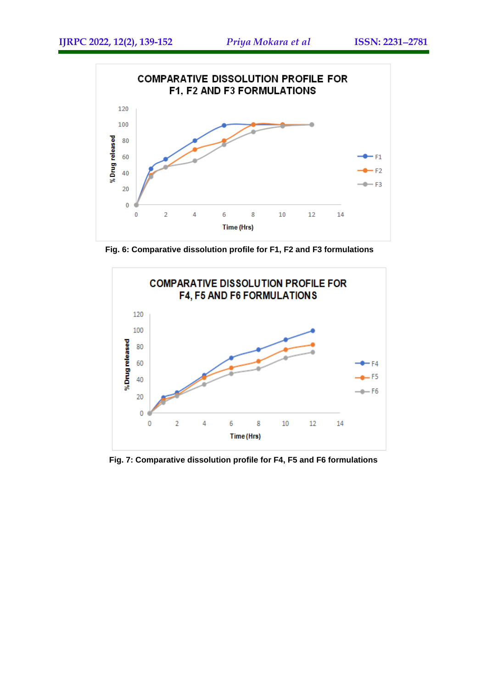

**Fig. 6: Comparative dissolution profile for F1, F2 and F3 formulations**



**Fig. 7: Comparative dissolution profile for F4, F5 and F6 formulations**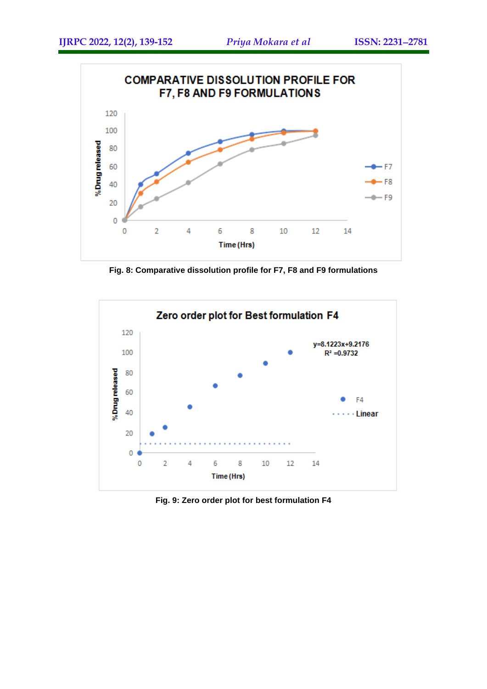

**Fig. 8: Comparative dissolution profile for F7, F8 and F9 formulations**



**Fig. 9: Zero order plot for best formulation F4**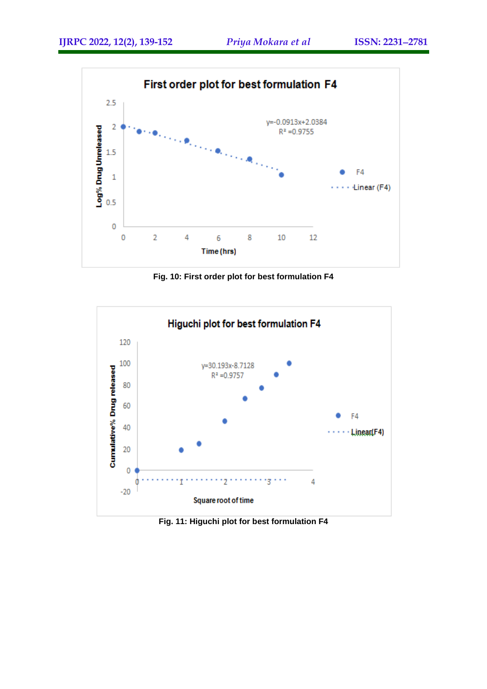

**Fig. 10: First order plot for best formulation F4**



**Fig. 11: Higuchi plot for best formulation F4**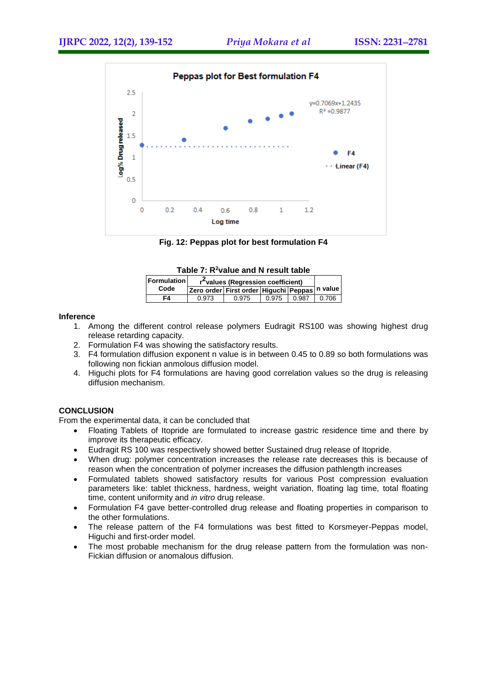

**Fig. 12: Peppas plot for best formulation F4**

| Table 7: R-value and N result table |                                                |                                               |       |       |       |  |  |  |  |  |
|-------------------------------------|------------------------------------------------|-----------------------------------------------|-------|-------|-------|--|--|--|--|--|
| <b>Formulation</b>                  | r <sup>2</sup> values (Regression coefficient) |                                               |       |       |       |  |  |  |  |  |
| Code                                |                                                | Zero order First order Higuchi Peppas n value |       |       |       |  |  |  |  |  |
| F4                                  | 0.973                                          | 0.975                                         | 0.975 | 0.987 | 0.706 |  |  |  |  |  |

#### **Table 7: R<sup>2</sup>value and N result table**

#### **Inference**

- 1. Among the different control release polymers Eudragit RS100 was showing highest drug release retarding capacity.
- 2. Formulation F4 was showing the satisfactory results.
- 3. F4 formulation diffusion exponent n value is in between 0.45 to 0.89 so both formulations was following non fickian anmolous diffusion model.
- 4. Higuchi plots for F4 formulations are having good correlation values so the drug is releasing diffusion mechanism.

# **CONCLUSION**

From the experimental data, it can be concluded that

- Floating Tablets of Itopride are formulated to increase gastric residence time and there by improve its therapeutic efficacy.
- Eudragit RS 100 was respectively showed better Sustained drug release of Itopride.
- When drug: polymer concentration increases the release rate decreases this is because of reason when the concentration of polymer increases the diffusion pathlength increases
- Formulated tablets showed satisfactory results for various Post compression evaluation parameters like: tablet thickness, hardness, weight variation, floating lag time, total floating time, content uniformity and *in vitro* drug release.
- Formulation F4 gave better-controlled drug release and floating properties in comparison to the other formulations.
- The release pattern of the F4 formulations was best fitted to Korsmeyer-Peppas model, Higuchi and first-order model.
- The most probable mechanism for the drug release pattern from the formulation was non-Fickian diffusion or anomalous diffusion.